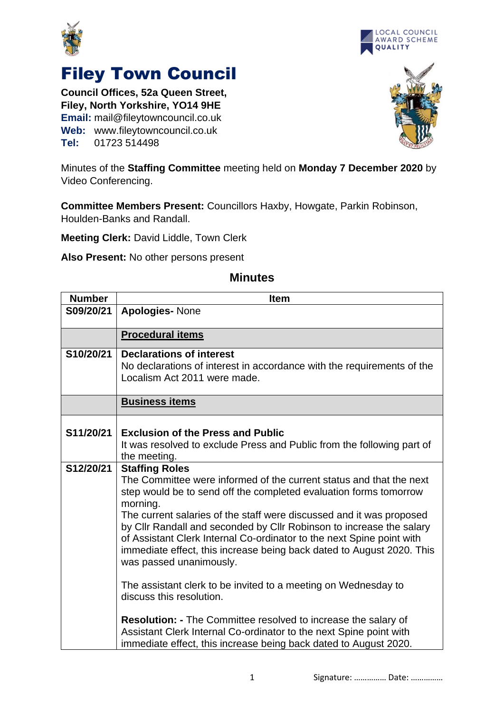



## Filey Town Council

**Council Offices, 52a Queen Street, Filey, North Yorkshire, YO14 9HE Email:** mail@fileytowncouncil.co.uk **Web:** www.fileytowncouncil.co.uk **Tel:** 01723 514498



Minutes of the **Staffing Committee** meeting held on **Monday 7 December 2020** by Video Conferencing.

**Committee Members Present:** Councillors Haxby, Howgate, Parkin Robinson, Houlden-Banks and Randall.

**Meeting Clerk:** David Liddle, Town Clerk

**Also Present:** No other persons present

| <b>Number</b> | <b>Item</b>                                                                                                                                                                                                                                                                                                                                                                                                                                                                                                                                                                                                                                                                       |
|---------------|-----------------------------------------------------------------------------------------------------------------------------------------------------------------------------------------------------------------------------------------------------------------------------------------------------------------------------------------------------------------------------------------------------------------------------------------------------------------------------------------------------------------------------------------------------------------------------------------------------------------------------------------------------------------------------------|
| S09/20/21     | <b>Apologies-None</b>                                                                                                                                                                                                                                                                                                                                                                                                                                                                                                                                                                                                                                                             |
|               | <b>Procedural items</b>                                                                                                                                                                                                                                                                                                                                                                                                                                                                                                                                                                                                                                                           |
| S10/20/21     | <b>Declarations of interest</b><br>No declarations of interest in accordance with the requirements of the<br>Localism Act 2011 were made.                                                                                                                                                                                                                                                                                                                                                                                                                                                                                                                                         |
|               | <b>Business items</b>                                                                                                                                                                                                                                                                                                                                                                                                                                                                                                                                                                                                                                                             |
| S11/20/21     | <b>Exclusion of the Press and Public</b><br>It was resolved to exclude Press and Public from the following part of<br>the meeting.                                                                                                                                                                                                                                                                                                                                                                                                                                                                                                                                                |
| S12/20/21     | <b>Staffing Roles</b><br>The Committee were informed of the current status and that the next<br>step would be to send off the completed evaluation forms tomorrow<br>morning.<br>The current salaries of the staff were discussed and it was proposed<br>by Cllr Randall and seconded by Cllr Robinson to increase the salary<br>of Assistant Clerk Internal Co-ordinator to the next Spine point with<br>immediate effect, this increase being back dated to August 2020. This<br>was passed unanimously.<br>The assistant clerk to be invited to a meeting on Wednesday to<br>discuss this resolution.<br><b>Resolution: - The Committee resolved to increase the salary of</b> |
|               | Assistant Clerk Internal Co-ordinator to the next Spine point with<br>immediate effect, this increase being back dated to August 2020.                                                                                                                                                                                                                                                                                                                                                                                                                                                                                                                                            |

## **Minutes**